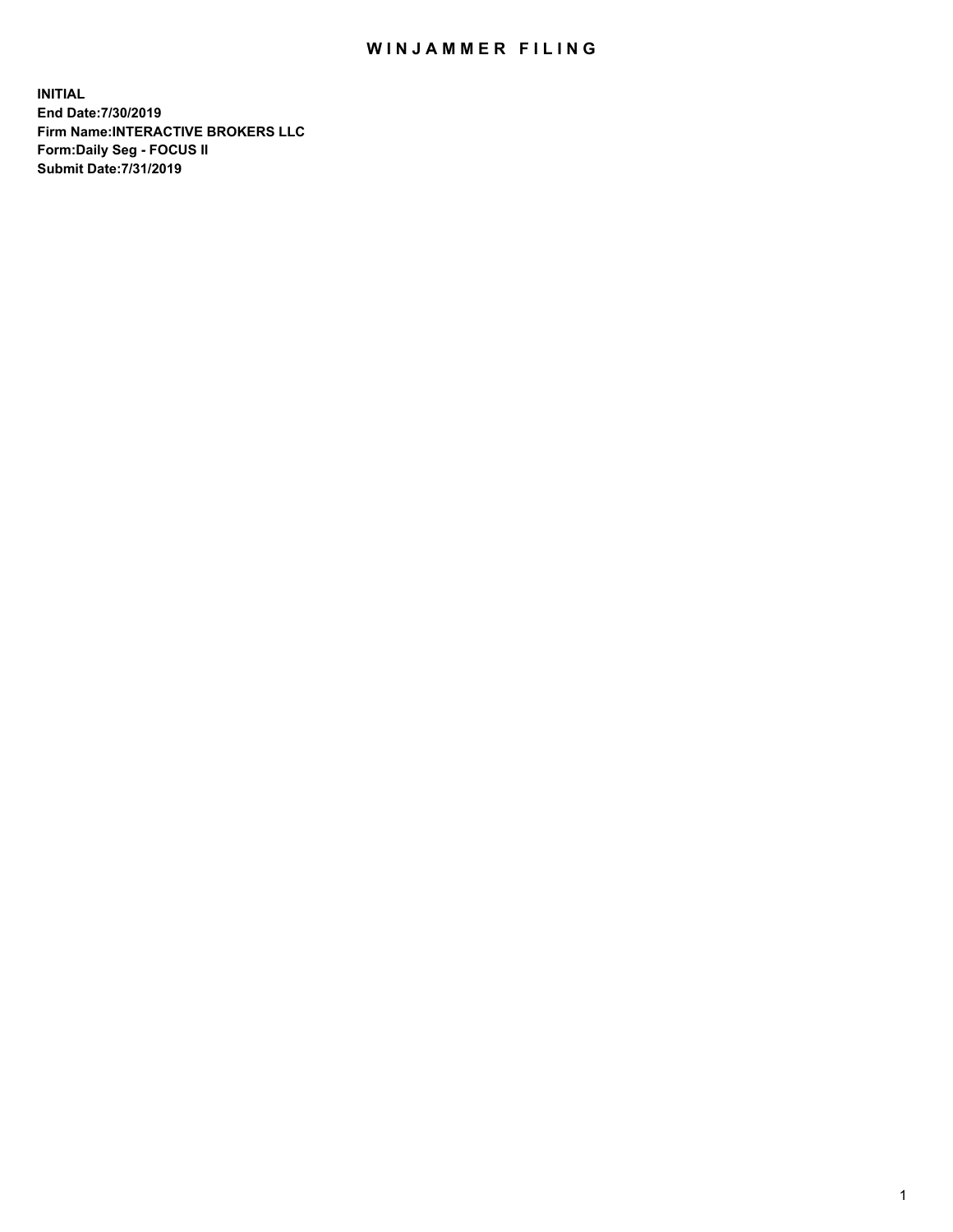## WIN JAMMER FILING

**INITIAL End Date:7/30/2019 Firm Name:INTERACTIVE BROKERS LLC Form:Daily Seg - FOCUS II Submit Date:7/31/2019**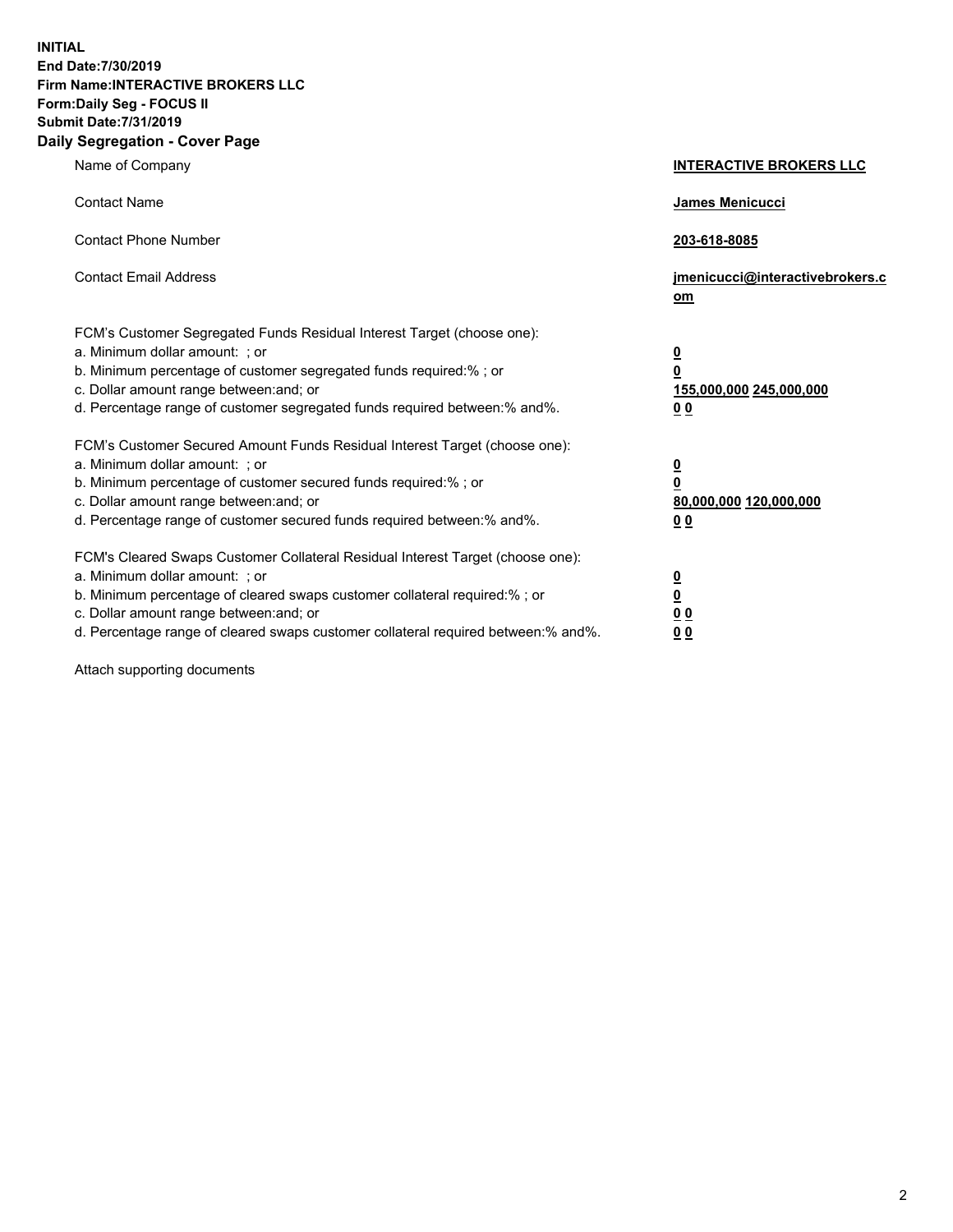**INITIAL End Date:7/30/2019 Firm Name:INTERACTIVE BROKERS LLC Form:Daily Seg - FOCUS II Submit Date:7/31/2019 Daily Segregation - Cover Page**

| Name of Company                                                                                                                                                                                                                                                                                                                | <b>INTERACTIVE BROKERS LLC</b>                                                                  |
|--------------------------------------------------------------------------------------------------------------------------------------------------------------------------------------------------------------------------------------------------------------------------------------------------------------------------------|-------------------------------------------------------------------------------------------------|
| <b>Contact Name</b>                                                                                                                                                                                                                                                                                                            | James Menicucci                                                                                 |
| <b>Contact Phone Number</b>                                                                                                                                                                                                                                                                                                    | 203-618-8085                                                                                    |
| <b>Contact Email Address</b>                                                                                                                                                                                                                                                                                                   | jmenicucci@interactivebrokers.c<br>om                                                           |
| FCM's Customer Segregated Funds Residual Interest Target (choose one):<br>a. Minimum dollar amount: ; or<br>b. Minimum percentage of customer segregated funds required:% ; or<br>c. Dollar amount range between: and; or<br>d. Percentage range of customer segregated funds required between:% and%.                         | $\overline{\mathbf{0}}$<br>$\overline{\mathbf{0}}$<br>155,000,000 245,000,000<br>0 <sub>0</sub> |
| FCM's Customer Secured Amount Funds Residual Interest Target (choose one):<br>a. Minimum dollar amount: ; or<br>b. Minimum percentage of customer secured funds required:%; or<br>c. Dollar amount range between: and; or<br>d. Percentage range of customer secured funds required between:% and%.                            | $\overline{\mathbf{0}}$<br>$\overline{\mathbf{0}}$<br>80,000,000 120,000,000<br>0 <sub>0</sub>  |
| FCM's Cleared Swaps Customer Collateral Residual Interest Target (choose one):<br>a. Minimum dollar amount: ; or<br>b. Minimum percentage of cleared swaps customer collateral required:% ; or<br>c. Dollar amount range between: and; or<br>d. Percentage range of cleared swaps customer collateral required between:% and%. | $\frac{0}{0}$<br>$\underline{0}$ $\underline{0}$<br>0 <sub>0</sub>                              |

Attach supporting documents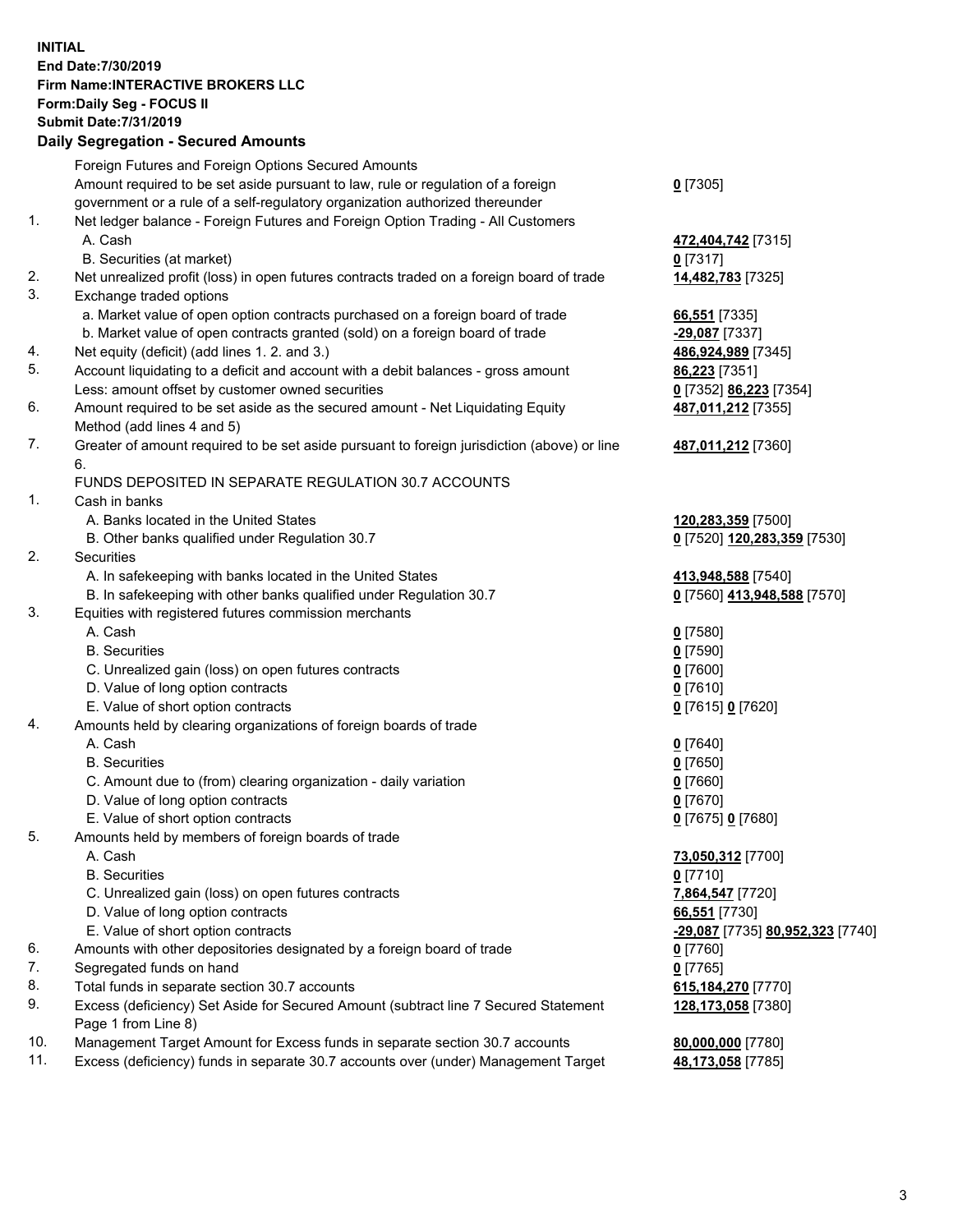## **INITIAL End Date:7/30/2019 Firm Name:INTERACTIVE BROKERS LLC Form:Daily Seg - FOCUS II Submit Date:7/31/2019 Daily Segregation - Secured Amounts**

|                | Daily Ocglegation - Occuled Aniounts                                                                       |                                                      |
|----------------|------------------------------------------------------------------------------------------------------------|------------------------------------------------------|
|                | Foreign Futures and Foreign Options Secured Amounts                                                        |                                                      |
|                | Amount required to be set aside pursuant to law, rule or regulation of a foreign                           | $0$ [7305]                                           |
|                | government or a rule of a self-regulatory organization authorized thereunder                               |                                                      |
| $\mathbf{1}$ . | Net ledger balance - Foreign Futures and Foreign Option Trading - All Customers                            |                                                      |
|                | A. Cash                                                                                                    | 472,404,742 [7315]                                   |
|                | B. Securities (at market)                                                                                  | $0$ [7317]                                           |
| 2.             | Net unrealized profit (loss) in open futures contracts traded on a foreign board of trade                  | 14,482,783 [7325]                                    |
| 3.             | Exchange traded options                                                                                    |                                                      |
|                | a. Market value of open option contracts purchased on a foreign board of trade                             | 66,551 [7335]                                        |
|                | b. Market value of open contracts granted (sold) on a foreign board of trade                               | -29,087 [7337]                                       |
| 4.             | Net equity (deficit) (add lines 1. 2. and 3.)                                                              | 486,924,989 [7345]                                   |
| 5.             | Account liquidating to a deficit and account with a debit balances - gross amount                          | 86,223 [7351]                                        |
|                | Less: amount offset by customer owned securities                                                           | 0 [7352] 86,223 [7354]                               |
| 6.             | Amount required to be set aside as the secured amount - Net Liquidating Equity                             | 487,011,212 [7355]                                   |
|                | Method (add lines 4 and 5)                                                                                 |                                                      |
| 7.             | Greater of amount required to be set aside pursuant to foreign jurisdiction (above) or line                | 487,011,212 [7360]                                   |
|                | 6.                                                                                                         |                                                      |
|                | FUNDS DEPOSITED IN SEPARATE REGULATION 30.7 ACCOUNTS                                                       |                                                      |
| 1.             | Cash in banks                                                                                              |                                                      |
|                | A. Banks located in the United States                                                                      | 120,283,359 [7500]                                   |
|                | B. Other banks qualified under Regulation 30.7                                                             | 0 [7520] 120,283,359 [7530]                          |
| 2.             | Securities                                                                                                 |                                                      |
|                | A. In safekeeping with banks located in the United States                                                  | 413,948,588 [7540]                                   |
|                | B. In safekeeping with other banks qualified under Regulation 30.7                                         | 0 [7560] 413,948,588 [7570]                          |
| 3.             | Equities with registered futures commission merchants                                                      |                                                      |
|                | A. Cash                                                                                                    | $0$ [7580]                                           |
|                | <b>B.</b> Securities                                                                                       | $0$ [7590]                                           |
|                | C. Unrealized gain (loss) on open futures contracts                                                        | $0$ [7600]                                           |
|                | D. Value of long option contracts                                                                          | $0$ [7610]                                           |
|                | E. Value of short option contracts                                                                         | 0 [7615] 0 [7620]                                    |
| 4.             | Amounts held by clearing organizations of foreign boards of trade                                          |                                                      |
|                | A. Cash                                                                                                    | $0$ [7640]                                           |
|                | <b>B.</b> Securities                                                                                       | $0$ [7650]                                           |
|                | C. Amount due to (from) clearing organization - daily variation                                            | $0$ [7660]                                           |
|                | D. Value of long option contracts                                                                          | $0$ [7670]                                           |
|                | E. Value of short option contracts                                                                         | 0 [7675] 0 [7680]                                    |
| 5.             | Amounts held by members of foreign boards of trade                                                         |                                                      |
|                | A. Cash                                                                                                    | 73,050,312 [7700]                                    |
|                | <b>B.</b> Securities                                                                                       | $0$ [7710]                                           |
|                | C. Unrealized gain (loss) on open futures contracts                                                        | 7,864,547 [7720]                                     |
|                | D. Value of long option contracts                                                                          | 66,551 [7730]                                        |
|                | E. Value of short option contracts                                                                         | <mark>-29,087</mark> [7735] <b>80,952,323</b> [7740] |
| 6.             | Amounts with other depositories designated by a foreign board of trade                                     | 0 [7760]                                             |
| 7.             | Segregated funds on hand                                                                                   | $0$ [7765]                                           |
| 8.             | Total funds in separate section 30.7 accounts                                                              | 615,184,270 [7770]                                   |
| 9.             | Excess (deficiency) Set Aside for Secured Amount (subtract line 7 Secured Statement<br>Page 1 from Line 8) | 128,173,058 [7380]                                   |
| 10.            | Management Target Amount for Excess funds in separate section 30.7 accounts                                | 80,000,000 [7780]                                    |
| 11.            | Excess (deficiency) funds in separate 30.7 accounts over (under) Management Target                         | 48,173,058 [7785]                                    |
|                |                                                                                                            |                                                      |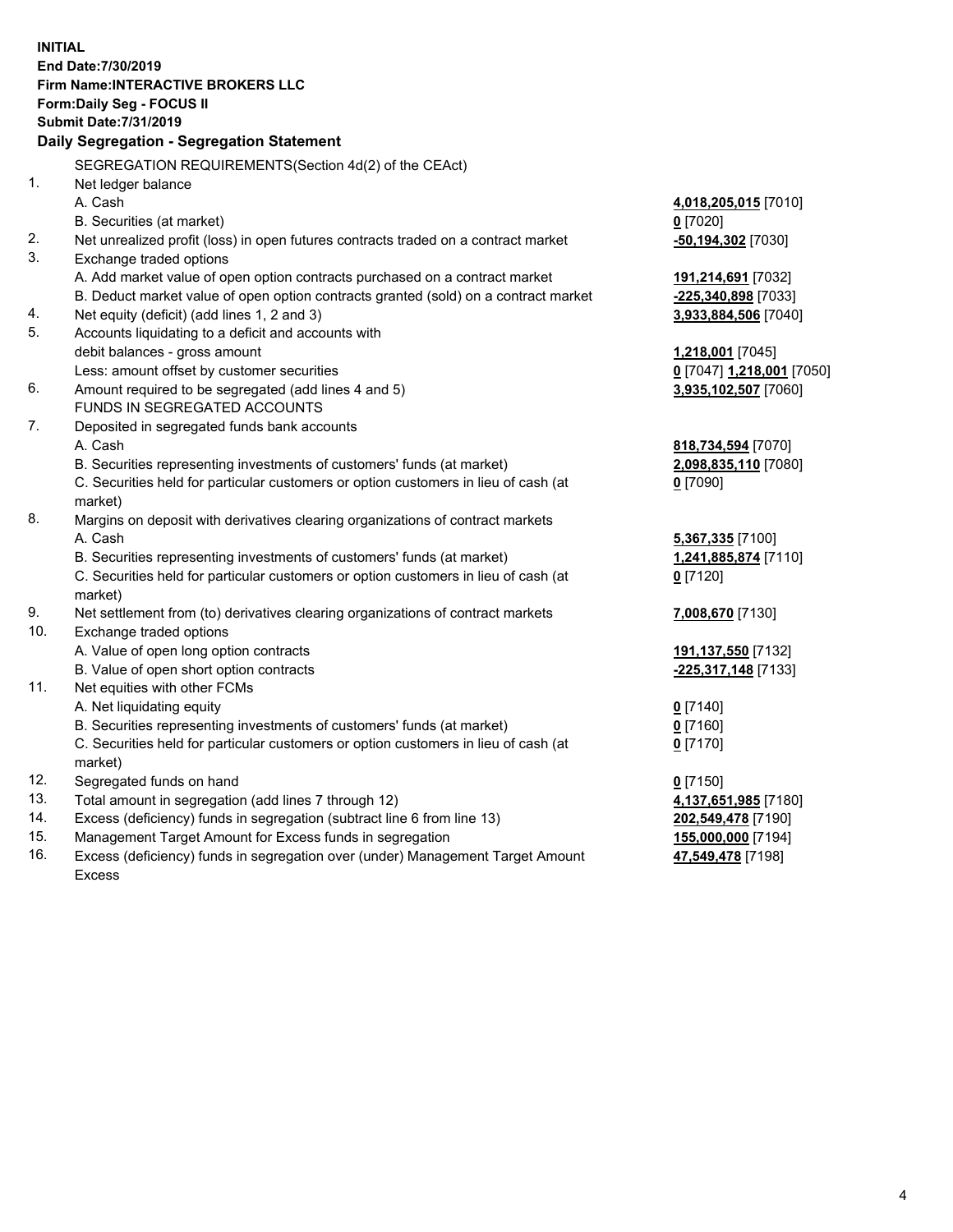**INITIAL End Date:7/30/2019 Firm Name:INTERACTIVE BROKERS LLC Form:Daily Seg - FOCUS II Submit Date:7/31/2019 Daily Segregation - Segregation Statement** SEGREGATION REQUIREMENTS(Section 4d(2) of the CEAct) 1. Net ledger balance A. Cash **4,018,205,015** [7010] B. Securities (at market) **0** [7020] 2. Net unrealized profit (loss) in open futures contracts traded on a contract market **-50,194,302** [7030] 3. Exchange traded options A. Add market value of open option contracts purchased on a contract market **191,214,691** [7032] B. Deduct market value of open option contracts granted (sold) on a contract market **-225,340,898** [7033] 4. Net equity (deficit) (add lines 1, 2 and 3) **3,933,884,506** [7040] 5. Accounts liquidating to a deficit and accounts with debit balances - gross amount **1,218,001** [7045] Less: amount offset by customer securities **0** [7047] **1,218,001** [7050] 6. Amount required to be segregated (add lines 4 and 5) **3,935,102,507** [7060] FUNDS IN SEGREGATED ACCOUNTS 7. Deposited in segregated funds bank accounts A. Cash **818,734,594** [7070] B. Securities representing investments of customers' funds (at market) **2,098,835,110** [7080] C. Securities held for particular customers or option customers in lieu of cash (at market) **0** [7090] 8. Margins on deposit with derivatives clearing organizations of contract markets A. Cash **5,367,335** [7100] B. Securities representing investments of customers' funds (at market) **1,241,885,874** [7110] C. Securities held for particular customers or option customers in lieu of cash (at market) **0** [7120] 9. Net settlement from (to) derivatives clearing organizations of contract markets **7,008,670** [7130] 10. Exchange traded options A. Value of open long option contracts **191,137,550** [7132] B. Value of open short option contracts **-225,317,148** [7133] 11. Net equities with other FCMs A. Net liquidating equity **0** [7140] B. Securities representing investments of customers' funds (at market) **0** [7160] C. Securities held for particular customers or option customers in lieu of cash (at market) **0** [7170] 12. Segregated funds on hand **0** [7150] 13. Total amount in segregation (add lines 7 through 12) **4,137,651,985** [7180] 14. Excess (deficiency) funds in segregation (subtract line 6 from line 13) **202,549,478** [7190] 15. Management Target Amount for Excess funds in segregation **155,000,000** [7194] **47,549,478** [7198]

16. Excess (deficiency) funds in segregation over (under) Management Target Amount Excess